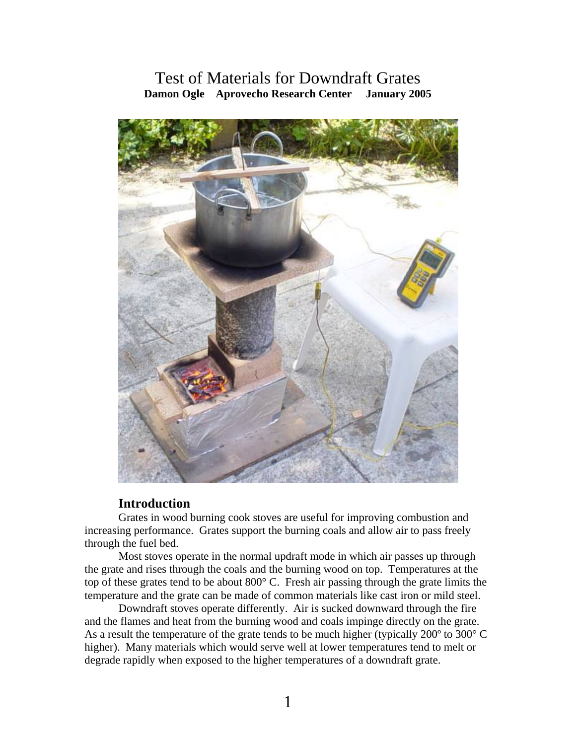# Test of Materials for Downdraft Grates **Damon Ogle Aprovecho Research Center January 2005**



# **Introduction**

Grates in wood burning cook stoves are useful for improving combustion and increasing performance. Grates support the burning coals and allow air to pass freely through the fuel bed.

Most stoves operate in the normal updraft mode in which air passes up through the grate and rises through the coals and the burning wood on top. Temperatures at the top of these grates tend to be about 800° C. Fresh air passing through the grate limits the temperature and the grate can be made of common materials like cast iron or mild steel.

Downdraft stoves operate differently. Air is sucked downward through the fire and the flames and heat from the burning wood and coals impinge directly on the grate. As a result the temperature of the grate tends to be much higher (typically 200º to 300° C higher). Many materials which would serve well at lower temperatures tend to melt or degrade rapidly when exposed to the higher temperatures of a downdraft grate.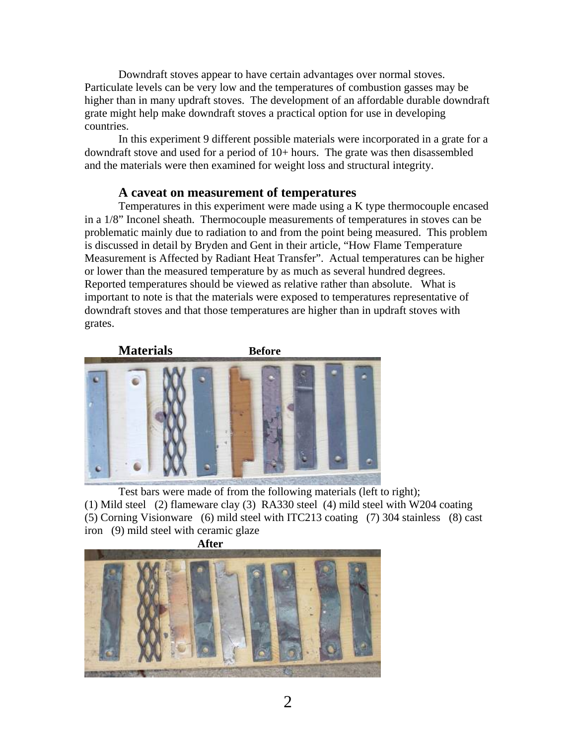Downdraft stoves appear to have certain advantages over normal stoves. Particulate levels can be very low and the temperatures of combustion gasses may be higher than in many updraft stoves. The development of an affordable durable downdraft grate might help make downdraft stoves a practical option for use in developing countries.

In this experiment 9 different possible materials were incorporated in a grate for a downdraft stove and used for a period of 10+ hours. The grate was then disassembled and the materials were then examined for weight loss and structural integrity.

#### **A caveat on measurement of temperatures**

Temperatures in this experiment were made using a K type thermocouple encased in a 1/8" Inconel sheath. Thermocouple measurements of temperatures in stoves can be problematic mainly due to radiation to and from the point being measured. This problem is discussed in detail by Bryden and Gent in their article, "How Flame Temperature Measurement is Affected by Radiant Heat Transfer". Actual temperatures can be higher or lower than the measured temperature by as much as several hundred degrees. Reported temperatures should be viewed as relative rather than absolute. What is important to note is that the materials were exposed to temperatures representative of downdraft stoves and that those temperatures are higher than in updraft stoves with grates.



Test bars were made of from the following materials (left to right); (1) Mild steel (2) flameware clay (3) RA330 steel (4) mild steel with W204 coating (5) Corning Visionware (6) mild steel with ITC213 coating (7) 304 stainless (8) cast iron (9) mild steel with ceramic glaze

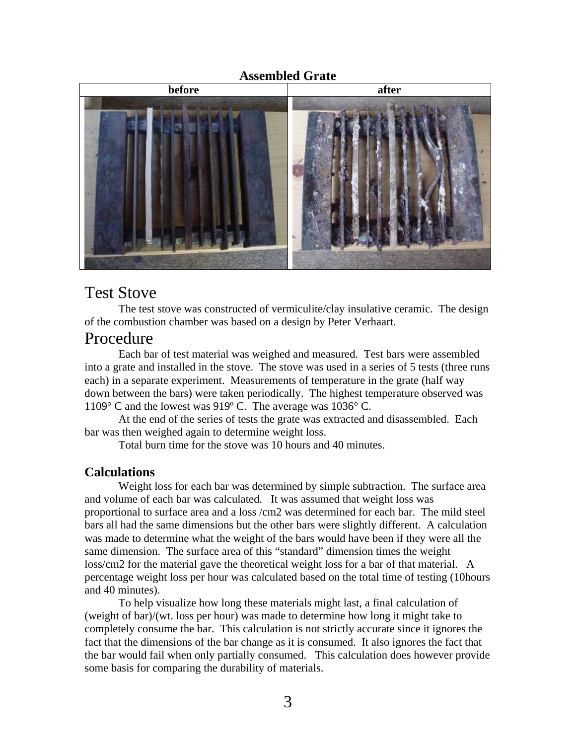#### **Assembled Grate**



# Test Stove

The test stove was constructed of vermiculite/clay insulative ceramic. The design of the combustion chamber was based on a design by Peter Verhaart.

# Procedure

 Each bar of test material was weighed and measured. Test bars were assembled into a grate and installed in the stove. The stove was used in a series of 5 tests (three runs each) in a separate experiment. Measurements of temperature in the grate (half way down between the bars) were taken periodically. The highest temperature observed was 1109° C and the lowest was 919º C. The average was 1036° C.

 At the end of the series of tests the grate was extracted and disassembled. Each bar was then weighed again to determine weight loss.

Total burn time for the stove was 10 hours and 40 minutes.

# **Calculations**

 Weight loss for each bar was determined by simple subtraction. The surface area and volume of each bar was calculated. It was assumed that weight loss was proportional to surface area and a loss /cm2 was determined for each bar. The mild steel bars all had the same dimensions but the other bars were slightly different. A calculation was made to determine what the weight of the bars would have been if they were all the same dimension. The surface area of this "standard" dimension times the weight loss/cm2 for the material gave the theoretical weight loss for a bar of that material. A percentage weight loss per hour was calculated based on the total time of testing (10hours and 40 minutes).

 To help visualize how long these materials might last, a final calculation of (weight of bar)/(wt. loss per hour) was made to determine how long it might take to completely consume the bar. This calculation is not strictly accurate since it ignores the fact that the dimensions of the bar change as it is consumed. It also ignores the fact that the bar would fail when only partially consumed. This calculation does however provide some basis for comparing the durability of materials.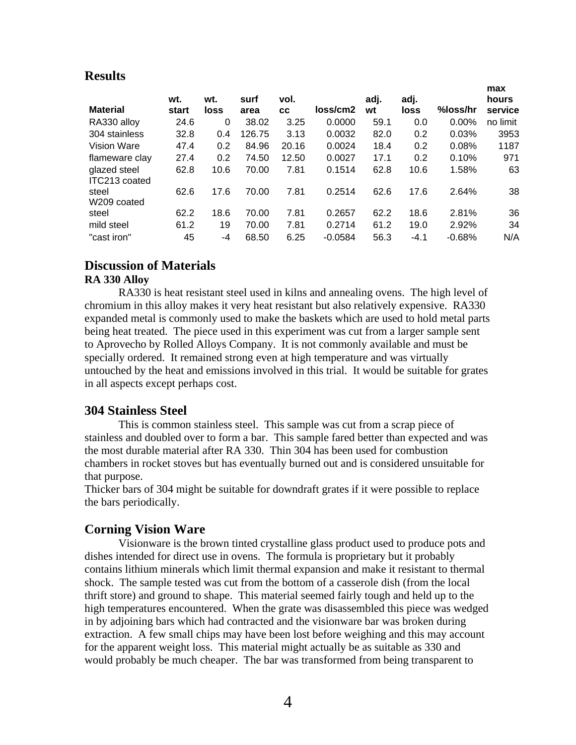# **Results**

| <b>Material</b>               | wt.<br>start | wt.<br>loss | surf<br>area | vol.  | loss/cm2  | adj.<br>wt | adj.<br>loss | %loss/hr | max<br>hours<br>service |
|-------------------------------|--------------|-------------|--------------|-------|-----------|------------|--------------|----------|-------------------------|
|                               |              |             |              | СC    |           |            |              |          |                         |
| RA330 alloy                   | 24.6         | 0           | 38.02        | 3.25  | 0.0000    | 59.1       | 0.0          | $0.00\%$ | no limit                |
| 304 stainless                 | 32.8         | 0.4         | 126.75       | 3.13  | 0.0032    | 82.0       | 0.2          | 0.03%    | 3953                    |
| Vision Ware                   | 47.4         | 0.2         | 84.96        | 20.16 | 0.0024    | 18.4       | 0.2          | 0.08%    | 1187                    |
| flameware clay                | 27.4         | 0.2         | 74.50        | 12.50 | 0.0027    | 17.1       | 0.2          | 0.10%    | 971                     |
| glazed steel<br>ITC213 coated | 62.8         | 10.6        | 70.00        | 7.81  | 0.1514    | 62.8       | 10.6         | 1.58%    | 63                      |
| steel<br>W209 coated          | 62.6         | 17.6        | 70.00        | 7.81  | 0.2514    | 62.6       | 17.6         | 2.64%    | 38                      |
| steel                         | 62.2         | 18.6        | 70.00        | 7.81  | 0.2657    | 62.2       | 18.6         | 2.81%    | 36                      |
| mild steel                    | 61.2         | 19          | 70.00        | 7.81  | 0.2714    | 61.2       | 19.0         | 2.92%    | 34                      |
| "cast iron"                   | 45           | $-4$        | 68.50        | 6.25  | $-0.0584$ | 56.3       | $-4.1$       | $-0.68%$ | N/A                     |

# **Discussion of Materials**

#### **RA 330 Alloy**

RA330 is heat resistant steel used in kilns and annealing ovens. The high level of chromium in this alloy makes it very heat resistant but also relatively expensive. RA330 expanded metal is commonly used to make the baskets which are used to hold metal parts being heat treated. The piece used in this experiment was cut from a larger sample sent to Aprovecho by Rolled Alloys Company. It is not commonly available and must be specially ordered. It remained strong even at high temperature and was virtually untouched by the heat and emissions involved in this trial. It would be suitable for grates in all aspects except perhaps cost.

# **304 Stainless Steel**

This is common stainless steel. This sample was cut from a scrap piece of stainless and doubled over to form a bar. This sample fared better than expected and was the most durable material after RA 330. Thin 304 has been used for combustion chambers in rocket stoves but has eventually burned out and is considered unsuitable for that purpose.

Thicker bars of 304 might be suitable for downdraft grates if it were possible to replace the bars periodically.

# **Corning Vision Ware**

Visionware is the brown tinted crystalline glass product used to produce pots and dishes intended for direct use in ovens. The formula is proprietary but it probably contains lithium minerals which limit thermal expansion and make it resistant to thermal shock. The sample tested was cut from the bottom of a casserole dish (from the local thrift store) and ground to shape. This material seemed fairly tough and held up to the high temperatures encountered. When the grate was disassembled this piece was wedged in by adjoining bars which had contracted and the visionware bar was broken during extraction. A few small chips may have been lost before weighing and this may account for the apparent weight loss. This material might actually be as suitable as 330 and would probably be much cheaper. The bar was transformed from being transparent to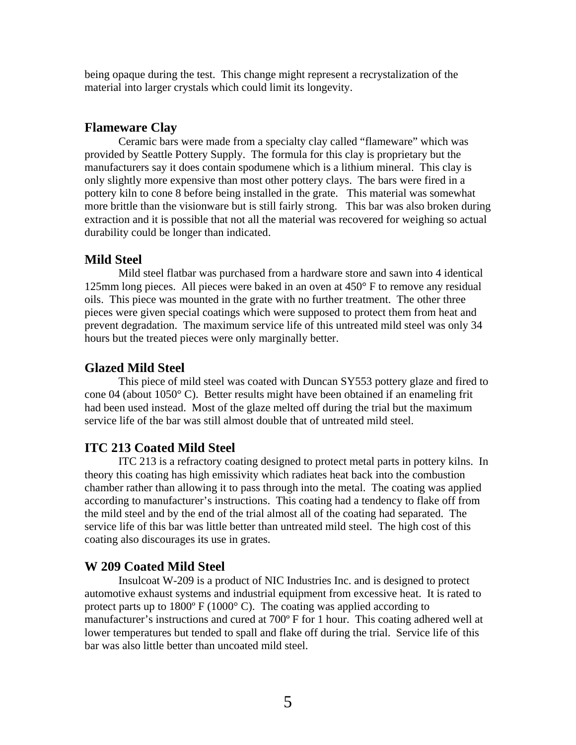being opaque during the test. This change might represent a recrystalization of the material into larger crystals which could limit its longevity.

#### **Flameware Clay**

Ceramic bars were made from a specialty clay called "flameware" which was provided by Seattle Pottery Supply. The formula for this clay is proprietary but the manufacturers say it does contain spodumene which is a lithium mineral. This clay is only slightly more expensive than most other pottery clays. The bars were fired in a pottery kiln to cone 8 before being installed in the grate. This material was somewhat more brittle than the visionware but is still fairly strong. This bar was also broken during extraction and it is possible that not all the material was recovered for weighing so actual durability could be longer than indicated.

# **Mild Steel**

Mild steel flatbar was purchased from a hardware store and sawn into 4 identical 125mm long pieces. All pieces were baked in an oven at 450° F to remove any residual oils. This piece was mounted in the grate with no further treatment. The other three pieces were given special coatings which were supposed to protect them from heat and prevent degradation. The maximum service life of this untreated mild steel was only 34 hours but the treated pieces were only marginally better.

#### **Glazed Mild Steel**

This piece of mild steel was coated with Duncan SY553 pottery glaze and fired to cone 04 (about 1050° C). Better results might have been obtained if an enameling frit had been used instead. Most of the glaze melted off during the trial but the maximum service life of the bar was still almost double that of untreated mild steel.

# **ITC 213 Coated Mild Steel**

ITC 213 is a refractory coating designed to protect metal parts in pottery kilns. In theory this coating has high emissivity which radiates heat back into the combustion chamber rather than allowing it to pass through into the metal. The coating was applied according to manufacturer's instructions. This coating had a tendency to flake off from the mild steel and by the end of the trial almost all of the coating had separated. The service life of this bar was little better than untreated mild steel. The high cost of this coating also discourages its use in grates.

#### **W 209 Coated Mild Steel**

Insulcoat W-209 is a product of NIC Industries Inc. and is designed to protect automotive exhaust systems and industrial equipment from excessive heat. It is rated to protect parts up to  $1800^{\circ}$  F ( $1000^{\circ}$  C). The coating was applied according to manufacturer's instructions and cured at 700º F for 1 hour. This coating adhered well at lower temperatures but tended to spall and flake off during the trial. Service life of this bar was also little better than uncoated mild steel.